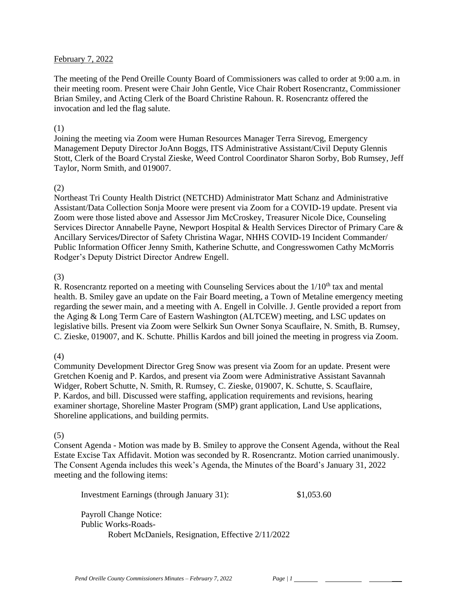### February 7, 2022

The meeting of the Pend Oreille County Board of Commissioners was called to order at 9:00 a.m. in their meeting room. Present were Chair John Gentle, Vice Chair Robert Rosencrantz, Commissioner Brian Smiley, and Acting Clerk of the Board Christine Rahoun. R. Rosencrantz offered the invocation and led the flag salute.

#### (1)

Joining the meeting via Zoom were Human Resources Manager Terra Sirevog, Emergency Management Deputy Director JoAnn Boggs, ITS Administrative Assistant/Civil Deputy Glennis Stott, Clerk of the Board Crystal Zieske, Weed Control Coordinator Sharon Sorby, Bob Rumsey, Jeff Taylor, Norm Smith, and 019007.

### (2)

Northeast Tri County Health District (NETCHD) Administrator Matt Schanz and Administrative Assistant/Data Collection Sonja Moore were present via Zoom for a COVID-19 update. Present via Zoom were those listed above and Assessor Jim McCroskey, Treasurer Nicole Dice, Counseling Services Director Annabelle Payne, Newport Hospital & Health Services Director of Primary Care & Ancillary Services**/**Director of Safety Christina Wagar, NHHS COVID-19 Incident Commander/ Public Information Officer Jenny Smith, Katherine Schutte, and Congresswomen Cathy McMorris Rodger's Deputy District Director Andrew Engell.

### (3)

R. Rosencrantz reported on a meeting with Counseling Services about the  $1/10<sup>th</sup>$  tax and mental health. B. Smiley gave an update on the Fair Board meeting, a Town of Metaline emergency meeting regarding the sewer main, and a meeting with A. Engell in Colville. J. Gentle provided a report from the Aging & Long Term Care of Eastern Washington (ALTCEW) meeting, and LSC updates on legislative bills. Present via Zoom were Selkirk Sun Owner Sonya Scauflaire, N. Smith, B. Rumsey, C. Zieske, 019007, and K. Schutte. Phillis Kardos and bill joined the meeting in progress via Zoom.

# (4)

Community Development Director Greg Snow was present via Zoom for an update. Present were Gretchen Koenig and P. Kardos, and present via Zoom were Administrative Assistant Savannah Widger, Robert Schutte, N. Smith, R. Rumsey, C. Zieske, 019007, K. Schutte, S. Scauflaire, P. Kardos, and bill. Discussed were staffing, application requirements and revisions, hearing examiner shortage, Shoreline Master Program (SMP) grant application, Land Use applications, Shoreline applications, and building permits.

# (5)

Consent Agenda - Motion was made by B. Smiley to approve the Consent Agenda, without the Real Estate Excise Tax Affidavit. Motion was seconded by R. Rosencrantz. Motion carried unanimously. The Consent Agenda includes this week's Agenda, the Minutes of the Board's January 31, 2022 meeting and the following items:

Investment Earnings (through January 31): \$1,053.60

Payroll Change Notice: Public Works-Roads-Robert McDaniels, Resignation, Effective 2/11/2022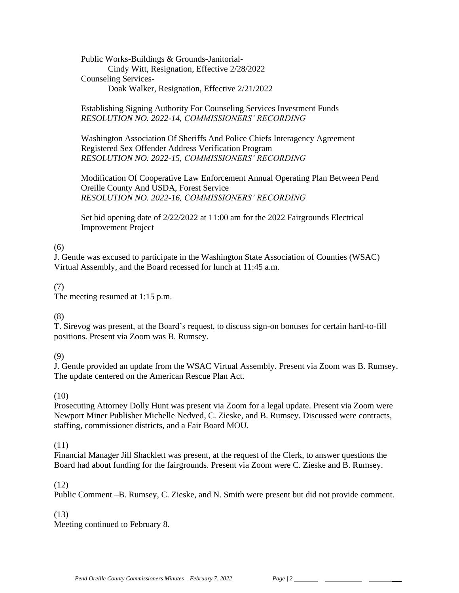Public Works-Buildings & Grounds-Janitorial-Cindy Witt, Resignation, Effective 2/28/2022 Counseling Services-Doak Walker, Resignation, Effective 2/21/2022

Establishing Signing Authority For Counseling Services Investment Funds *RESOLUTION NO. 2022-14, COMMISSIONERS' RECORDING* 

Washington Association Of Sheriffs And Police Chiefs Interagency Agreement Registered Sex Offender Address Verification Program *RESOLUTION NO. 2022-15, COMMISSIONERS' RECORDING* 

Modification Of Cooperative Law Enforcement Annual Operating Plan Between Pend Oreille County And USDA, Forest Service *RESOLUTION NO. 2022-16, COMMISSIONERS' RECORDING* 

Set bid opening date of 2/22/2022 at 11:00 am for the 2022 Fairgrounds Electrical Improvement Project

# (6)

J. Gentle was excused to participate in the Washington State Association of Counties (WSAC) Virtual Assembly, and the Board recessed for lunch at 11:45 a.m.

(7)

The meeting resumed at 1:15 p.m.

# (8)

T. Sirevog was present, at the Board's request, to discuss sign-on bonuses for certain hard-to-fill positions. Present via Zoom was B. Rumsey.

(9)

J. Gentle provided an update from the WSAC Virtual Assembly. Present via Zoom was B. Rumsey. The update centered on the American Rescue Plan Act.

# (10)

Prosecuting Attorney Dolly Hunt was present via Zoom for a legal update. Present via Zoom were Newport Miner Publisher Michelle Nedved, C. Zieske, and B. Rumsey. Discussed were contracts, staffing, commissioner districts, and a Fair Board MOU.

# (11)

Financial Manager Jill Shacklett was present, at the request of the Clerk, to answer questions the Board had about funding for the fairgrounds. Present via Zoom were C. Zieske and B. Rumsey.

# (12)

Public Comment –B. Rumsey, C. Zieske, and N. Smith were present but did not provide comment.

# (13)

Meeting continued to February 8.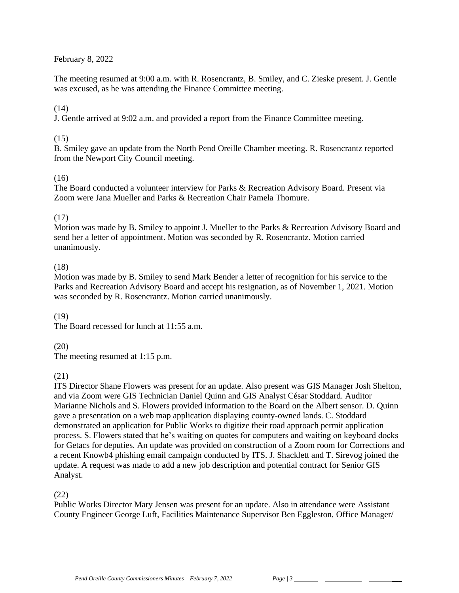## February 8, 2022

The meeting resumed at 9:00 a.m. with R. Rosencrantz, B. Smiley, and C. Zieske present. J. Gentle was excused, as he was attending the Finance Committee meeting.

## $(14)$

J. Gentle arrived at 9:02 a.m. and provided a report from the Finance Committee meeting.

## $(15)$

B. Smiley gave an update from the North Pend Oreille Chamber meeting. R. Rosencrantz reported from the Newport City Council meeting.

# (16)

The Board conducted a volunteer interview for Parks & Recreation Advisory Board. Present via Zoom were Jana Mueller and Parks & Recreation Chair Pamela Thomure.

### (17)

Motion was made by B. Smiley to appoint J. Mueller to the Parks & Recreation Advisory Board and send her a letter of appointment. Motion was seconded by R. Rosencrantz. Motion carried unanimously.

#### (18)

Motion was made by B. Smiley to send Mark Bender a letter of recognition for his service to the Parks and Recreation Advisory Board and accept his resignation, as of November 1, 2021. Motion was seconded by R. Rosencrantz. Motion carried unanimously.

#### (19)

The Board recessed for lunch at 11:55 a.m.

# (20)

The meeting resumed at 1:15 p.m.

#### (21)

ITS Director Shane Flowers was present for an update. Also present was GIS Manager Josh Shelton, and via Zoom were GIS Technician Daniel Quinn and GIS Analyst César Stoddard. Auditor Marianne Nichols and S. Flowers provided information to the Board on the Albert sensor. D. Quinn gave a presentation on a web map application displaying county-owned lands. C. Stoddard demonstrated an application for Public Works to digitize their road approach permit application process. S. Flowers stated that he's waiting on quotes for computers and waiting on keyboard docks for Getacs for deputies. An update was provided on construction of a Zoom room for Corrections and a recent Knowb4 phishing email campaign conducted by ITS. J. Shacklett and T. Sirevog joined the update. A request was made to add a new job description and potential contract for Senior GIS Analyst.

#### (22)

Public Works Director Mary Jensen was present for an update. Also in attendance were Assistant County Engineer George Luft, Facilities Maintenance Supervisor Ben Eggleston, Office Manager/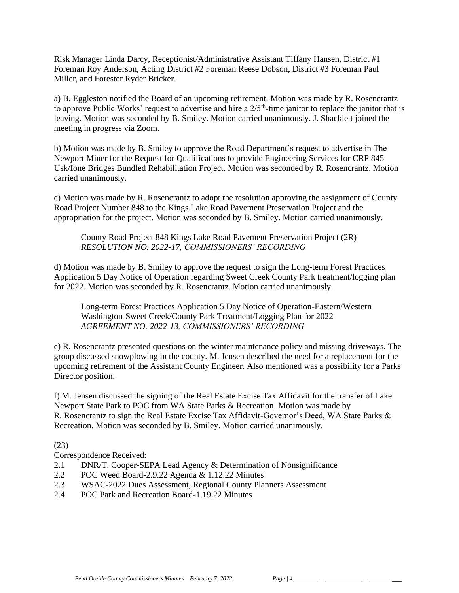Risk Manager Linda Darcy, Receptionist/Administrative Assistant Tiffany Hansen, District #1 Foreman Roy Anderson, Acting District #2 Foreman Reese Dobson, District #3 Foreman Paul Miller, and Forester Ryder Bricker.

a) B. Eggleston notified the Board of an upcoming retirement. Motion was made by R. Rosencrantz to approve Public Works' request to advertise and hire a  $2/5$ <sup>th</sup>-time janitor to replace the janitor that is leaving. Motion was seconded by B. Smiley. Motion carried unanimously. J. Shacklett joined the meeting in progress via Zoom.

b) Motion was made by B. Smiley to approve the Road Department's request to advertise in The Newport Miner for the Request for Qualifications to provide Engineering Services for CRP 845 Usk/Ione Bridges Bundled Rehabilitation Project. Motion was seconded by R. Rosencrantz. Motion carried unanimously.

c) Motion was made by R. Rosencrantz to adopt the resolution approving the assignment of County Road Project Number 848 to the Kings Lake Road Pavement Preservation Project and the appropriation for the project. Motion was seconded by B. Smiley. Motion carried unanimously.

County Road Project 848 Kings Lake Road Pavement Preservation Project (2R) *RESOLUTION NO. 2022-17, COMMISSIONERS' RECORDING* 

d) Motion was made by B. Smiley to approve the request to sign the Long-term Forest Practices Application 5 Day Notice of Operation regarding Sweet Creek County Park treatment/logging plan for 2022. Motion was seconded by R. Rosencrantz. Motion carried unanimously.

Long-term Forest Practices Application 5 Day Notice of Operation-Eastern/Western Washington-Sweet Creek/County Park Treatment/Logging Plan for 2022 *AGREEMENT NO. 2022-13, COMMISSIONERS' RECORDING*

e) R. Rosencrantz presented questions on the winter maintenance policy and missing driveways. The group discussed snowplowing in the county. M. Jensen described the need for a replacement for the upcoming retirement of the Assistant County Engineer. Also mentioned was a possibility for a Parks Director position.

f) M. Jensen discussed the signing of the Real Estate Excise Tax Affidavit for the transfer of Lake Newport State Park to POC from WA State Parks & Recreation. Motion was made by R. Rosencrantz to sign the Real Estate Excise Tax Affidavit-Governor's Deed, WA State Parks & Recreation. Motion was seconded by B. Smiley. Motion carried unanimously.

# (23)

Correspondence Received:

- 2.1 DNR/T. Cooper-SEPA Lead Agency & Determination of Nonsignificance
- 2.2 POC Weed Board-2.9.22 Agenda & 1.12.22 Minutes
- 2.3 WSAC-2022 Dues Assessment, Regional County Planners Assessment
- 2.4 POC Park and Recreation Board-1.19.22 Minutes